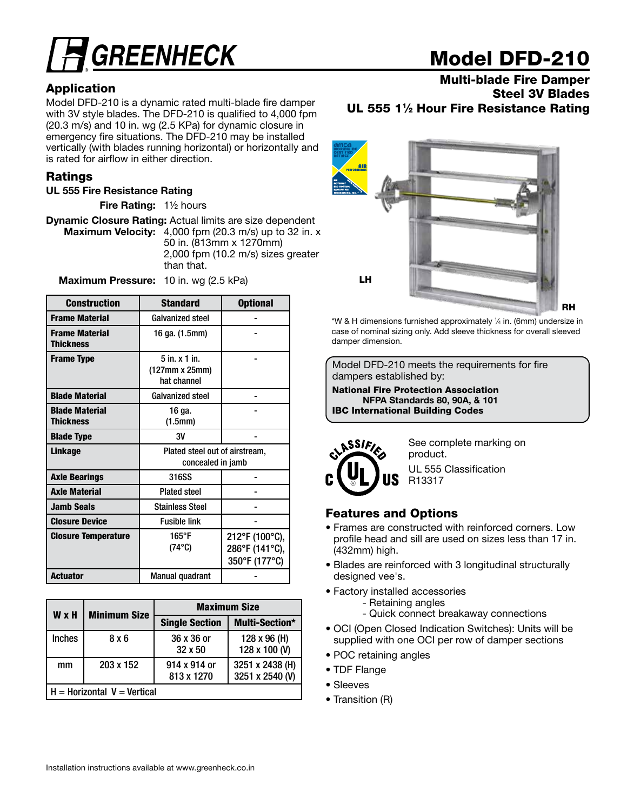# **GREENHECK**

### Application

Model DFD-210 is a dynamic rated multi-blade fire damper with 3V style blades. The DFD-210 is qualified to 4,000 fpm (20.3 m/s) and 10 in. wg (2.5 KPa) for dynamic closure in emergency fire situations. The DFD-210 may be installed vertically (with blades running horizontal) or horizontally and is rated for airflow in either direction.

#### Ratings

#### UL 555 Fire Resistance Rating

**Fire Rating:**  $1\frac{1}{2}$  hours

Dynamic Closure Rating: Actual limits are size dependent Maximum Velocity: 4,000 fpm (20.3 m/s) up to 32 in. x 50 in. (813mm x 1270mm) 2,000 fpm (10.2 m/s) sizes greater than that.

Maximum Pressure: 10 in. wg (2.5 kPa)

| <b>Construction</b>                       | <b>Standard</b>                                     | <b>Optional</b>                                   |  |  |
|-------------------------------------------|-----------------------------------------------------|---------------------------------------------------|--|--|
| <b>Frame Material</b>                     | Galvanized steel                                    |                                                   |  |  |
| <b>Frame Material</b><br>Thickness        | 16 ga. (1.5mm)                                      |                                                   |  |  |
| <b>Frame Type</b>                         | $5$ in. $x$ 1 in.<br>(127mm x 25mm)<br>hat channel  |                                                   |  |  |
| <b>Blade Material</b>                     | Galvanized steel                                    |                                                   |  |  |
| <b>Blade Material</b><br><b>Thickness</b> | 16 ga.<br>(1.5mm)                                   |                                                   |  |  |
| <b>Blade Type</b>                         | 3V                                                  |                                                   |  |  |
| Linkage                                   | Plated steel out of airstream,<br>concealed in jamb |                                                   |  |  |
| <b>Axle Bearings</b>                      | 316SS                                               |                                                   |  |  |
| <b>Axle Material</b>                      | <b>Plated steel</b>                                 |                                                   |  |  |
| <b>Jamb Seals</b>                         | Stainless Steel                                     |                                                   |  |  |
| <b>Closure Device</b>                     | <b>Fusible link</b>                                 |                                                   |  |  |
| <b>Closure Temperature</b>                | $165^{\circ}$ F<br>$(74^{\circ}C)$                  | 212°F (100°C),<br>286°F (141°C),<br>350°F (177°C) |  |  |
| <b>Actuator</b>                           | <b>Manual quadrant</b>                              |                                                   |  |  |

| <b>W</b> x H  | <b>Minimum Size</b>           |                              | <b>Maximum Size</b>                |  |  |  |  |
|---------------|-------------------------------|------------------------------|------------------------------------|--|--|--|--|
|               |                               | <b>Single Section</b>        | <b>Multi-Section*</b>              |  |  |  |  |
| <b>Inches</b> | 8 x 6                         | 36 x 36 or<br>$32 \times 50$ | 128 x 96 (H)<br>128 x 100 (V)      |  |  |  |  |
| mm            | 203 x 152                     | 914 x 914 or<br>813 x 1270   | 3251 x 2438 (H)<br>3251 x 2540 (V) |  |  |  |  |
|               | $H =$ Horizontal V = Vertical |                              |                                    |  |  |  |  |

## Model DFD-210

Multi-blade Fire Damper Steel 3V Blades UL 555 11/2 Hour Fire Resistance Rating



\*W & H dimensions furnished approximately 1 ⁄4 in. (6mm) undersize in case of nominal sizing only. Add sleeve thickness for overall sleeved damper dimension.

Model DFD-210 meets the requirements for fire dampers established by:

National Fire Protection Association NFPA Standards 80, 90A, & 101 IBC International Building Codes



See complete marking on product.

UL 555 Classification R13317

### Features and Options

- Frames are constructed with reinforced corners. Low profile head and sill are used on sizes less than 17 in. (432mm) high.
- Blades are reinforced with 3 longitudinal structurally designed vee's.
- Factory installed accessories - Retaining angles
	- Quick connect breakaway connections
- OCI (Open Closed Indication Switches): Units will be supplied with one OCI per row of damper sections
- POC retaining angles
- TDF Flange
- Sleeves
- Transition (R)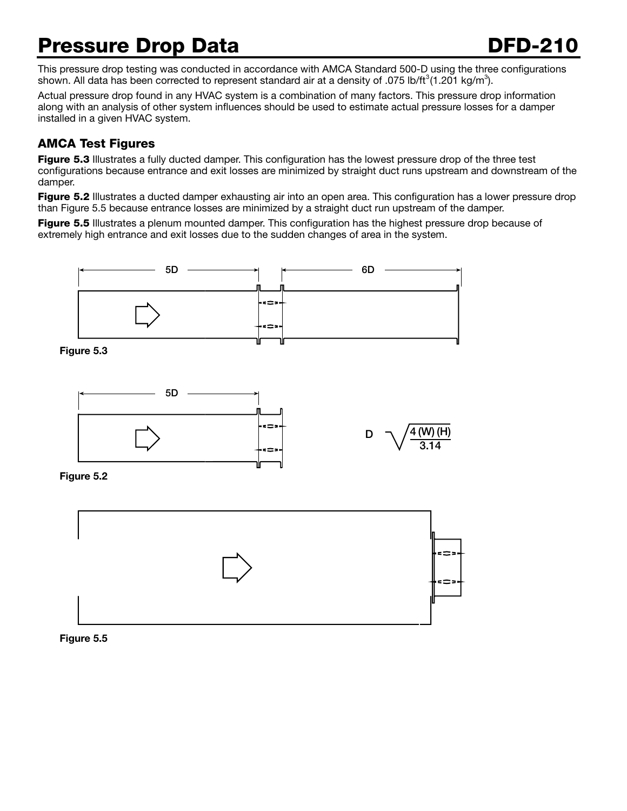## Pressure Drop Data **DFD-210**

This pressure drop testing was conducted in accordance with AMCA Standard 500-D using the three configurations shown. All data has been corrected to represent standard air at a density of .075 lb/ft<sup>3</sup>(1.201 kg/m<sup>3</sup>).

Actual pressure drop found in any HVAC system is a combination of many factors. This pressure drop information along with an analysis of other system influences should be used to estimate actual pressure losses for a damper installed in a given HVAC system.

### AMCA Test Figures

Figure 5.3 Illustrates a fully ducted damper. This configuration has the lowest pressure drop of the three test configurations because entrance and exit losses are minimized by straight duct runs upstream and downstream of the damper.

Figure 5.2 Illustrates a ducted damper exhausting air into an open area. This configuration has a lower pressure drop than Figure 5.5 because entrance losses are minimized by a straight duct run upstream of the damper.

Figure 5.5 Illustrates a plenum mounted damper. This configuration has the highest pressure drop because of extremely high entrance and exit losses due to the sudden changes of area in the system.



#### Figure 5.5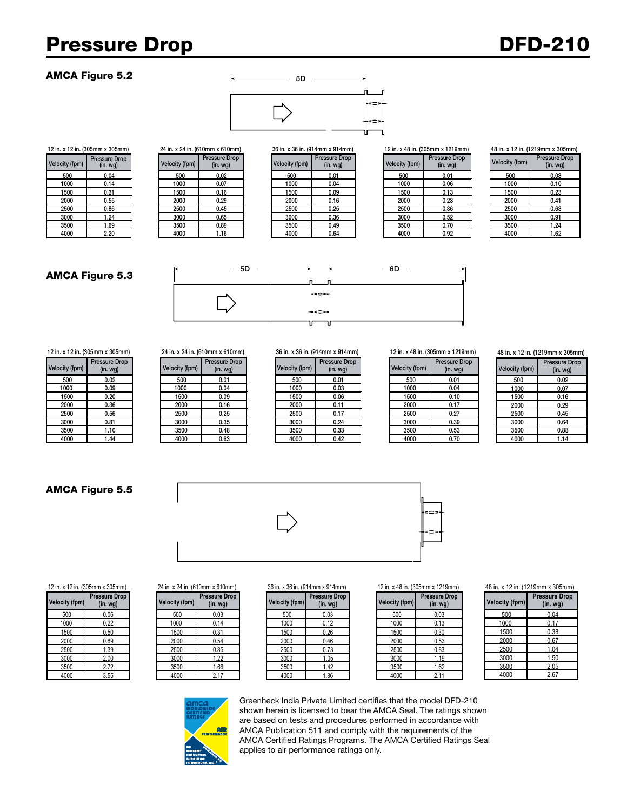## Pressure Drop **DFD-210**

#### AMCA Figure 5.2



Velocity (fpm) Pressure Drop

|            | x 12 in. (305mm x 305mm)  |                | 24 in. x 24 in. (610mm x 610mm)    |                | 36 in. x 36 in. (914mm x 914mm)   | 12 in. x 48 in. (305mm x 121 |                    |
|------------|---------------------------|----------------|------------------------------------|----------------|-----------------------------------|------------------------------|--------------------|
| city (fpm) | Pressure Drop<br>(in. wg) | Velocity (fpm) | <b>Pressure Drop</b><br>$(in. wq)$ | Velocity (fpm) | Pressure Drop<br>(in. <i>wq</i> ) | Velocity (fpm)               | Pressure<br>(in. w |
| 500        | 0.04                      | 500            | 0.02                               | 500            | 0.01                              | 500                          | 0.01               |
| 1000       | 0.14                      | 1000           | 0.07                               | 1000           | 0.04                              | 1000                         | 0.06               |
| 1500       | 0.31                      | 1500           | 0.16                               | 1500           | 0.09                              | 1500                         | 0.13               |
| 2000       | 0.55                      | 2000           | 0.29                               | 2000           | 0.16                              | 2000                         | 0.23               |
| 2500       | 0.86                      | 2500           | 0.45                               | 2500           | 0.25                              | 2500                         | 0.36               |
| 3000       | 1.24                      | 3000           | 0.65                               | 3000           | 0.36                              | 3000                         | 0.52               |
| 3500       | 1.69                      | 3500           | 0.89                               | 3500           | 0.49                              | 3500                         | 0.70               |
| 4000       | 2.20                      | 4000           | 1.16                               | 4000           | 0.64                              | 4000                         | 0.92               |

| 36 in. x 36 in. (914mm x 914mm) |                                       |  |  |  |  |  |  |
|---------------------------------|---------------------------------------|--|--|--|--|--|--|
| <b>Velocity (fpm)</b>           | <b>Pressure Drop</b><br>$(in.$ wg $)$ |  |  |  |  |  |  |
| 500                             | 0.01                                  |  |  |  |  |  |  |
| 1000                            | 0.04                                  |  |  |  |  |  |  |
| 1500                            | 0.09                                  |  |  |  |  |  |  |
| 2000                            | 0.16                                  |  |  |  |  |  |  |
| 2500                            | 0.25                                  |  |  |  |  |  |  |
| 3000                            | 0.36                                  |  |  |  |  |  |  |
| 3500                            | 0.49                                  |  |  |  |  |  |  |
| 4000                            | 0.64                                  |  |  |  |  |  |  |

12 in. x 12 in. (305mm x 305mm) 24 in. x 24 in. (610mm x 610mm) 36 in. x 36 in. (914mm x 914mm) 12 in. x 48 in. (305mm x 1219mm)

Pressure Drop (in. wg)

|                       | 48 in. x 12 in. (1219mm x 305mm)   |  |  |  |  |  |
|-----------------------|------------------------------------|--|--|--|--|--|
| <b>Velocity (fpm)</b> | <b>Pressure Drop</b><br>$(in. wq)$ |  |  |  |  |  |
| 500                   | 0.03                               |  |  |  |  |  |
| 1000                  | 0.10                               |  |  |  |  |  |
| 1500                  | 0.23                               |  |  |  |  |  |
| 2000                  | 0.41                               |  |  |  |  |  |
| 2500                  | 0.63                               |  |  |  |  |  |
| 3000                  | 0.91                               |  |  |  |  |  |
| 3500                  | 1.24                               |  |  |  |  |  |
| 4000                  | 1.62                               |  |  |  |  |  |

#### AMCA Figure 5.3



Velocity (fpm) Pressure Drop<br>(in. wg)

#### – Pressure Drop | Velocity (fpm)  $(in.$  wg $)$ 500 0.02 500 0.01 500 0.01 500 0.01 1000 | 0.09 | | 1000 | 0.04 | | 1000 | 0.03 | | | 1000 | 0.04 1500 | 0.20 | 1500 | 0.09 | | 1500 | 0.06 | | 1500 | 0.10 2000 | 0.36 | | 2000 | 0.16 | | 2000 | 0.11 | | 2000 | 0.17 2500 0.56 2500 0.25 2500 0.17 2500 0.27 3000 | 0.81 | | 3000 | 0.35 | | 3000 | 0.24 | | 3000 | 0.39 3500 1.10 3500 0.48 3500 0.33 3500 0.53

| city (fpm) | <b>Pressure Drop</b><br>(in. wg) | Velocity (fpm) | <b>Pressure Drop</b><br>(in. <i>wg</i> ) | Velocity (fpm) | Pressure Drop<br>(in. <i>wg</i> ) | Velocity (fpm) | Pressure<br>$(in.$ w |
|------------|----------------------------------|----------------|------------------------------------------|----------------|-----------------------------------|----------------|----------------------|
| 500        | 0.02                             | 500            | 0.01                                     | 500            | 0.01                              | 500            | 0.01                 |
| 1000       | 0.09                             | 1000           | 0.04                                     | 1000           | 0.03                              | 1000           | 0.04                 |
| 1500       | 0.20                             | 1500           | 0.09                                     | 1500           | 0.06                              | 1500           | 0.10                 |
| 2000       | 0.36                             | 2000           | 0.16                                     | 2000           | 0.11                              | 2000           | 0.17                 |
| 2500       | 0.56                             | 2500           | 0.25                                     | 2500           | 0.17                              | 2500           | 0.27                 |
| 3000       | 0.81                             | 3000           | 0.35                                     | 3000           | 0.24                              | 3000           | 0.39                 |
| 3500       | 1.10                             | 3500           | 0.48                                     | 3500           | 0.33                              | 3500           | 0.53                 |
| 4000       | 44. ا                            | 4000           | 0.63                                     | 4000           | 0.42                              | 4000           | 0.70                 |

12 in. x 12 in. (305mm x 305mm) 24 in. x 24 in. (610mm x 610mm) 36 in. x 36 in. (914mm x 914mm) 12 in. x 48 in. (305mm x 1219mm)

| ssure Drop<br>(in. wg) | Velocity (fpm) | <b>Pressure Drop</b><br>$(in.$ wg $)$ |
|------------------------|----------------|---------------------------------------|
| 0.01                   | 500            | 0.01                                  |
| 0.03                   | 1000           | 0.04                                  |
| 0.06                   | 1500           | 0.10                                  |
| 0.11                   | 2000           | 0.17                                  |
| 0.17                   | 2500           | 0.27                                  |
| 0.24                   | 3000           | 0.39                                  |
| 0.33                   | 3500           | 0.53                                  |
| 0.42                   | 4000           | 0.70                                  |
|                        |                |                                       |

48 in. x 12 in. (1219mm x 305mm)

| <b>Velocity (fpm)</b> | <b>Pressure Drop</b><br>$(in.$ wg $)$ |
|-----------------------|---------------------------------------|
| 500                   | 0.02                                  |
| 1000                  | 0.07                                  |
| 1500                  | 0.16                                  |
| 2000                  | 0.29                                  |
| 2500                  | 0.45                                  |
| 3000                  | 0.64                                  |
| 3500                  | 0.88                                  |
| 4000                  | 1.14                                  |

#### AMCA Figure 5.5





48 in. x 12 in. (1219mm x 305mm)

| <b>Velocity (fpm)</b> | <b>Pressure Drop</b><br>$(in.$ wg $)$ |
|-----------------------|---------------------------------------|
| 500                   | 0.04                                  |
| 1000                  | 0.17                                  |
| 1500                  | 0.38                                  |
| 2000                  | 0.67                                  |
| 2500                  | 1.04                                  |
| 3000                  | 1.50                                  |
| 3500                  | 2.05                                  |
| 4000                  | 2.67                                  |

| <b>Velocity (fpm)</b> | Pressure Drop<br>$(in.$ wg $)$ |
|-----------------------|--------------------------------|
| 500                   | 0.06                           |
| 1000                  | 0.22                           |
| 1500                  | 0.50                           |
| 2000                  | 0.89                           |
| 2500                  | 1.39                           |
| 3000                  | 2.00                           |
| 3500                  | 2.72                           |
| 4000                  | 3.55                           |

#### **(in. wg) Velocity (fpm)** 12 in. x 12 in. (305mm x 305mm) 24 in. x 24 in. (610mm x 610mm) 36 in. x 36 in. (914mm x 914mm) 12 in. x 48 in. (305mm x 1219mm)

| city (fpm) | <b>Pressure Drop</b><br>(in. <i>wg</i> ) | Velocity (fpm) | <b>Pressure Drop</b><br>(in. <i>wg</i> ) | Velocity (fpm) | <b>Pressure Drop</b><br>(in.wg) | Velocity (fpm) | Pressure<br>(in w) |
|------------|------------------------------------------|----------------|------------------------------------------|----------------|---------------------------------|----------------|--------------------|
| 500        | 0.06                                     | 500            | 0.03                                     | 500            | 0.03                            | 500            | 0.03               |
| 1000       | 0.22                                     | 1000           | 0.14                                     | 1000           | 0.12                            | 1000           | 0.13               |
| 1500       | 0.50                                     | 1500           | 0.31                                     | 1500           | 0.26                            | 1500           | 0.30               |
| 2000       | 0.89                                     | 2000           | 0.54                                     | 2000           | 0.46                            | 2000           | 0.53               |
| 2500       | . 39                                     | 2500           | 0.85                                     | 2500           | 0.73                            | 2500           | 0.83               |
| 3000       | 2.00                                     | 3000           | 1.22                                     | 3000           | 1.05                            | 3000           | 1.19               |
| 3500       | 2.72                                     | 3500           | .66                                      | 3500           | 1.42                            | 3500           | 1.62               |
| 4000       | 3.55                                     | 4000           | 2.17                                     | 4000           | 1.86                            | 4000           | 2.11               |



| ssure Drop<br>(in. wg) | Velocity (fpm) | <b>Pressure Drop</b><br>$(in.$ wg $)$ |
|------------------------|----------------|---------------------------------------|
| 0.03                   | 500            | 0.03                                  |
| 0.12                   | 1000           | 0.13                                  |
| 0.26                   | 1500           | 0.30                                  |
| 0.46                   | 2000           | 0.53                                  |
| 0.73                   | 2500           | 0.83                                  |
| 1.05                   | 3000           | 1.19                                  |
| 1.42                   | 3500           | 1.62                                  |
| 1.86                   | 4000           | 2.11                                  |



Greenheck India Private Limited certifies that the model DFD-210 shown herein is licensed to bear the AMCA Seal. The ratings shown are based on tests and procedures performed in accordance with AMCA Publication 511 and comply with the requirements of the AMCA Certified Ratings Programs. The AMCA Certified Ratings Seal applies to air performance ratings only.